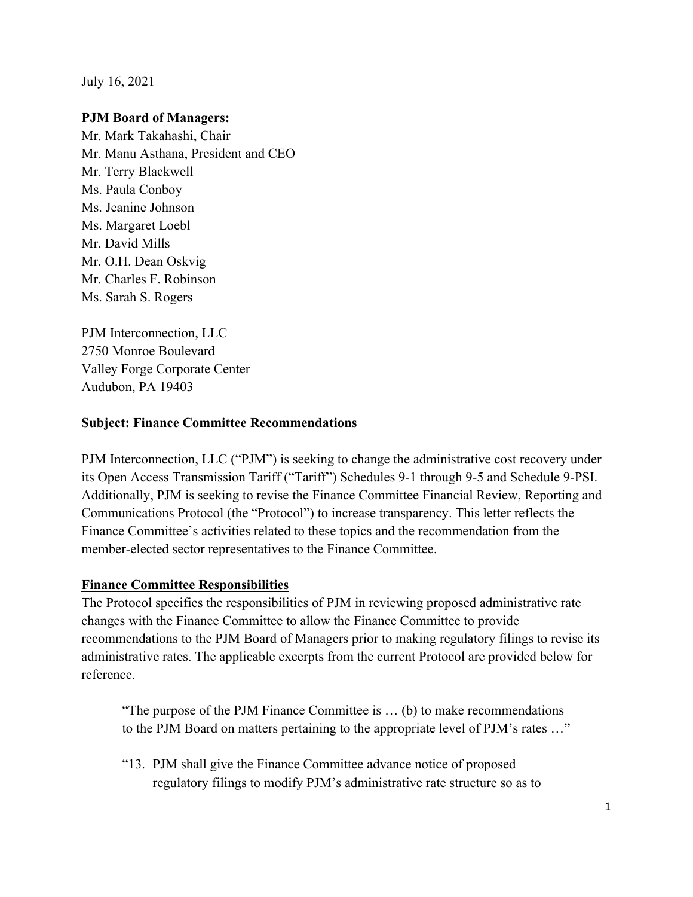July 16, 2021

## **PJM Board of Managers:**

Mr. Mark Takahashi, Chair Mr. Manu Asthana, President and CEO Mr. Terry Blackwell Ms. Paula Conboy Ms. Jeanine Johnson Ms. Margaret Loebl Mr. David Mills Mr. O.H. Dean Oskvig Mr. Charles F. Robinson Ms. Sarah S. Rogers

PJM Interconnection, LLC 2750 Monroe Boulevard Valley Forge Corporate Center Audubon, PA 19403

#### **Subject: Finance Committee Recommendations**

PJM Interconnection, LLC ("PJM") is seeking to change the administrative cost recovery under its Open Access Transmission Tariff ("Tariff") Schedules 9-1 through 9-5 and Schedule 9-PSI. Additionally, PJM is seeking to revise the Finance Committee Financial Review, Reporting and Communications Protocol (the "Protocol") to increase transparency. This letter reflects the Finance Committee's activities related to these topics and the recommendation from the member-elected sector representatives to the Finance Committee.

#### **Finance Committee Responsibilities**

The Protocol specifies the responsibilities of PJM in reviewing proposed administrative rate changes with the Finance Committee to allow the Finance Committee to provide recommendations to the PJM Board of Managers prior to making regulatory filings to revise its administrative rates. The applicable excerpts from the current Protocol are provided below for reference.

"The purpose of the PJM Finance Committee is … (b) to make recommendations to the PJM Board on matters pertaining to the appropriate level of PJM's rates …"

"13. PJM shall give the Finance Committee advance notice of proposed regulatory filings to modify PJM's administrative rate structure so as to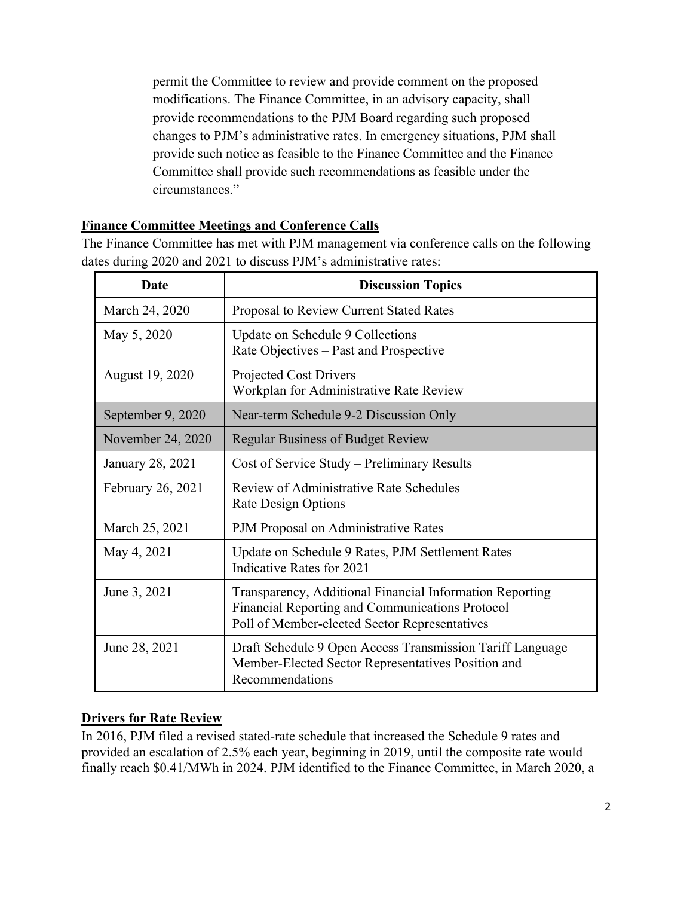permit the Committee to review and provide comment on the proposed modifications. The Finance Committee, in an advisory capacity, shall provide recommendations to the PJM Board regarding such proposed changes to PJM's administrative rates. In emergency situations, PJM shall provide such notice as feasible to the Finance Committee and the Finance Committee shall provide such recommendations as feasible under the circumstances<sup>"</sup>

## **Finance Committee Meetings and Conference Calls**

The Finance Committee has met with PJM management via conference calls on the following dates during 2020 and 2021 to discuss PJM's administrative rates:

| Date              | <b>Discussion Topics</b>                                                                                                                                     |
|-------------------|--------------------------------------------------------------------------------------------------------------------------------------------------------------|
| March 24, 2020    | Proposal to Review Current Stated Rates                                                                                                                      |
| May 5, 2020       | Update on Schedule 9 Collections<br>Rate Objectives - Past and Prospective                                                                                   |
| August 19, 2020   | Projected Cost Drivers<br>Workplan for Administrative Rate Review                                                                                            |
| September 9, 2020 | Near-term Schedule 9-2 Discussion Only                                                                                                                       |
| November 24, 2020 | <b>Regular Business of Budget Review</b>                                                                                                                     |
| January 28, 2021  | Cost of Service Study – Preliminary Results                                                                                                                  |
| February 26, 2021 | Review of Administrative Rate Schedules<br>Rate Design Options                                                                                               |
| March 25, 2021    | PJM Proposal on Administrative Rates                                                                                                                         |
| May 4, 2021       | Update on Schedule 9 Rates, PJM Settlement Rates<br>Indicative Rates for 2021                                                                                |
| June 3, 2021      | Transparency, Additional Financial Information Reporting<br>Financial Reporting and Communications Protocol<br>Poll of Member-elected Sector Representatives |
| June 28, 2021     | Draft Schedule 9 Open Access Transmission Tariff Language<br>Member-Elected Sector Representatives Position and<br>Recommendations                           |

## **Drivers for Rate Review**

In 2016, PJM filed a revised stated-rate schedule that increased the Schedule 9 rates and provided an escalation of 2.5% each year, beginning in 2019, until the composite rate would finally reach \$0.41/MWh in 2024. PJM identified to the Finance Committee, in March 2020, a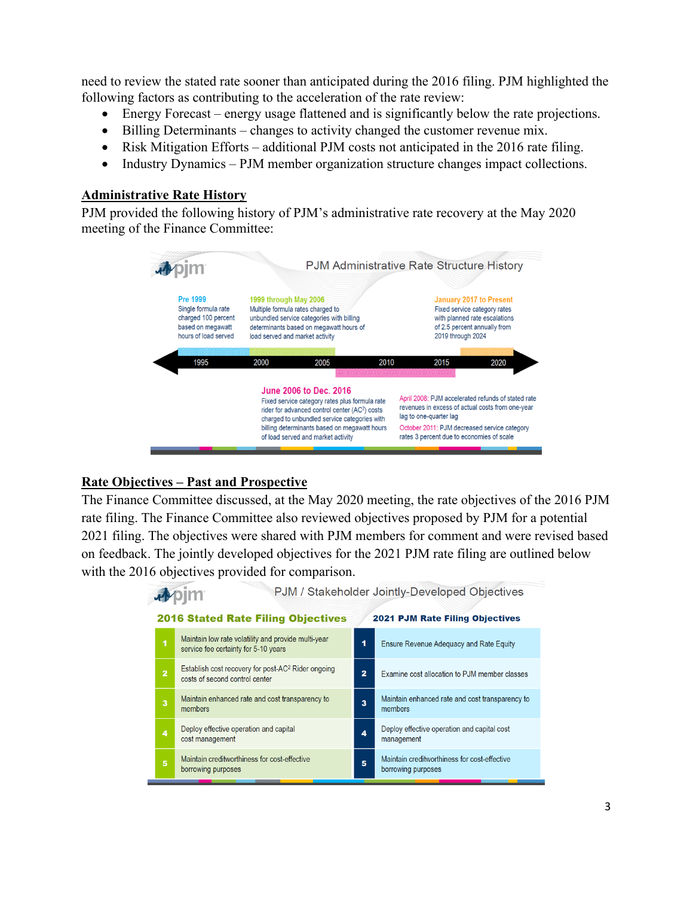need to review the stated rate sooner than anticipated during the 2016 filing. PJM highlighted the following factors as contributing to the acceleration of the rate review:

- Energy Forecast energy usage flattened and is significantly below the rate projections.
- Billing Determinants changes to activity changed the customer revenue mix.
- Risk Mitigation Efforts additional PJM costs not anticipated in the 2016 rate filing.
- Industry Dynamics PJM member organization structure changes impact collections.

#### **Administrative Rate History**

PJM provided the following history of PJM's administrative rate recovery at the May 2020 meeting of the Finance Committee:



## **Rate Objectives – Past and Prospective**

The Finance Committee discussed, at the May 2020 meeting, the rate objectives of the 2016 PJM rate filing. The Finance Committee also reviewed objectives proposed by PJM for a potential 2021 filing. The objectives were shared with PJM members for comment and were revised based on feedback. The jointly developed objectives for the 2021 PJM rate filing are outlined below with the 2016 objectives provided for comparison.

|  |                                           |                                                                                                  | PJM / Stakeholder Jointly-Developed Objectives |                                                                    |  |
|--|-------------------------------------------|--------------------------------------------------------------------------------------------------|------------------------------------------------|--------------------------------------------------------------------|--|
|  | <b>2016 Stated Rate Filing Objectives</b> |                                                                                                  |                                                | <b>2021 PJM Rate Filing Objectives</b>                             |  |
|  | 1                                         | Maintain low rate volatility and provide multi-year<br>service fee certainty for 5-10 years      | 1                                              | Ensure Revenue Adequacy and Rate Equity                            |  |
|  | $\overline{2}$                            | Establish cost recovery for post-AC <sup>2</sup> Rider ongoing<br>costs of second control center | 2                                              | Examine cost allocation to PJM member classes                      |  |
|  | 3                                         | Maintain enhanced rate and cost transparency to<br>members                                       | 3                                              | Maintain enhanced rate and cost transparency to<br>members         |  |
|  | 4                                         | Deploy effective operation and capital<br>cost management                                        | 4                                              | Deploy effective operation and capital cost<br>management          |  |
|  | 5                                         | Maintain creditworthiness for cost-effective<br>borrowing purposes                               | 5                                              | Maintain creditworthiness for cost-effective<br>borrowing purposes |  |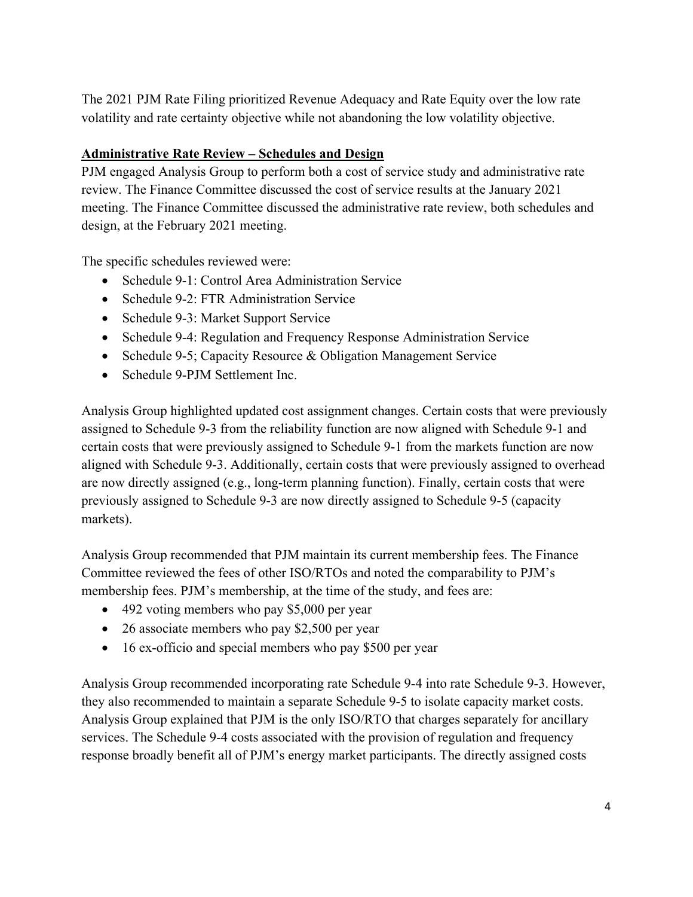The 2021 PJM Rate Filing prioritized Revenue Adequacy and Rate Equity over the low rate volatility and rate certainty objective while not abandoning the low volatility objective.

# **Administrative Rate Review – Schedules and Design**

PJM engaged Analysis Group to perform both a cost of service study and administrative rate review. The Finance Committee discussed the cost of service results at the January 2021 meeting. The Finance Committee discussed the administrative rate review, both schedules and design, at the February 2021 meeting.

The specific schedules reviewed were:

- Schedule 9-1: Control Area Administration Service
- Schedule 9-2: FTR Administration Service
- Schedule 9-3: Market Support Service
- Schedule 9-4: Regulation and Frequency Response Administration Service
- Schedule 9-5; Capacity Resource & Obligation Management Service
- Schedule 9-PJM Settlement Inc.

Analysis Group highlighted updated cost assignment changes. Certain costs that were previously assigned to Schedule 9-3 from the reliability function are now aligned with Schedule 9-1 and certain costs that were previously assigned to Schedule 9-1 from the markets function are now aligned with Schedule 9-3. Additionally, certain costs that were previously assigned to overhead are now directly assigned (e.g., long-term planning function). Finally, certain costs that were previously assigned to Schedule 9-3 are now directly assigned to Schedule 9-5 (capacity markets).

Analysis Group recommended that PJM maintain its current membership fees. The Finance Committee reviewed the fees of other ISO/RTOs and noted the comparability to PJM's membership fees. PJM's membership, at the time of the study, and fees are:

- 492 voting members who pay \$5,000 per year
- 26 associate members who pay \$2,500 per year
- 16 ex-officio and special members who pay \$500 per year

Analysis Group recommended incorporating rate Schedule 9-4 into rate Schedule 9-3. However, they also recommended to maintain a separate Schedule 9-5 to isolate capacity market costs. Analysis Group explained that PJM is the only ISO/RTO that charges separately for ancillary services. The Schedule 9-4 costs associated with the provision of regulation and frequency response broadly benefit all of PJM's energy market participants. The directly assigned costs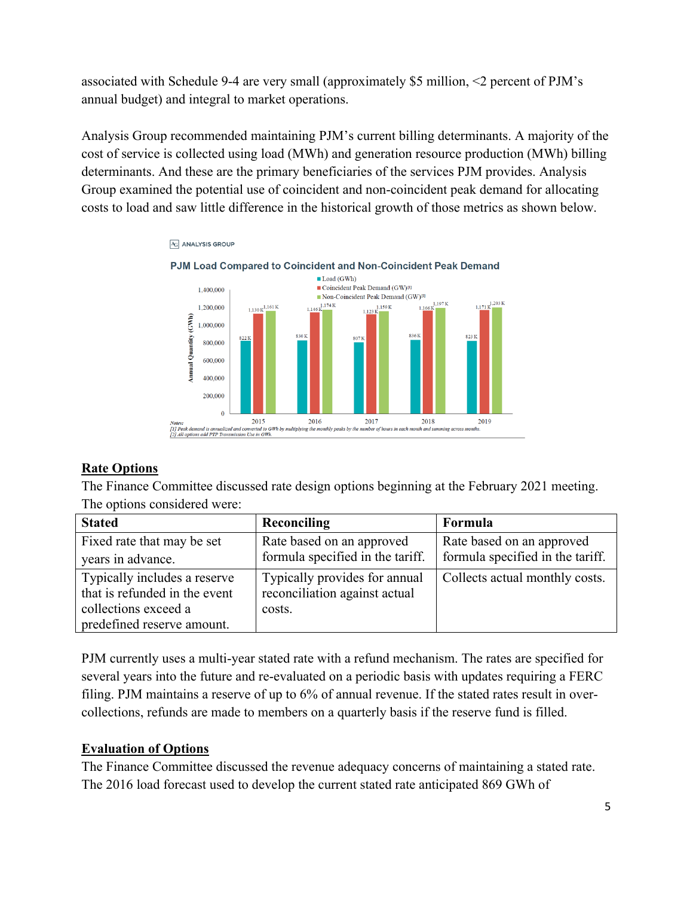associated with Schedule 9-4 are very small (approximately \$5 million, <2 percent of PJM's annual budget) and integral to market operations.

Analysis Group recommended maintaining PJM's current billing determinants. A majority of the cost of service is collected using load (MWh) and generation resource production (MWh) billing determinants. And these are the primary beneficiaries of the services PJM provides. Analysis Group examined the potential use of coincident and non-coincident peak demand for allocating costs to load and saw little difference in the historical growth of those metrics as shown below.



## **Rate Options**

The Finance Committee discussed rate design options beginning at the February 2021 meeting. The options considered were:

| <b>Stated</b>                 | Reconciling                      | Formula                          |
|-------------------------------|----------------------------------|----------------------------------|
| Fixed rate that may be set    | Rate based on an approved        | Rate based on an approved        |
| years in advance.             | formula specified in the tariff. | formula specified in the tariff. |
| Typically includes a reserve  | Typically provides for annual    | Collects actual monthly costs.   |
| that is refunded in the event | reconciliation against actual    |                                  |
| collections exceed a          | costs.                           |                                  |
| predefined reserve amount.    |                                  |                                  |

PJM currently uses a multi-year stated rate with a refund mechanism. The rates are specified for several years into the future and re-evaluated on a periodic basis with updates requiring a FERC filing. PJM maintains a reserve of up to 6% of annual revenue. If the stated rates result in overcollections, refunds are made to members on a quarterly basis if the reserve fund is filled.

## **Evaluation of Options**

The Finance Committee discussed the revenue adequacy concerns of maintaining a stated rate. The 2016 load forecast used to develop the current stated rate anticipated 869 GWh of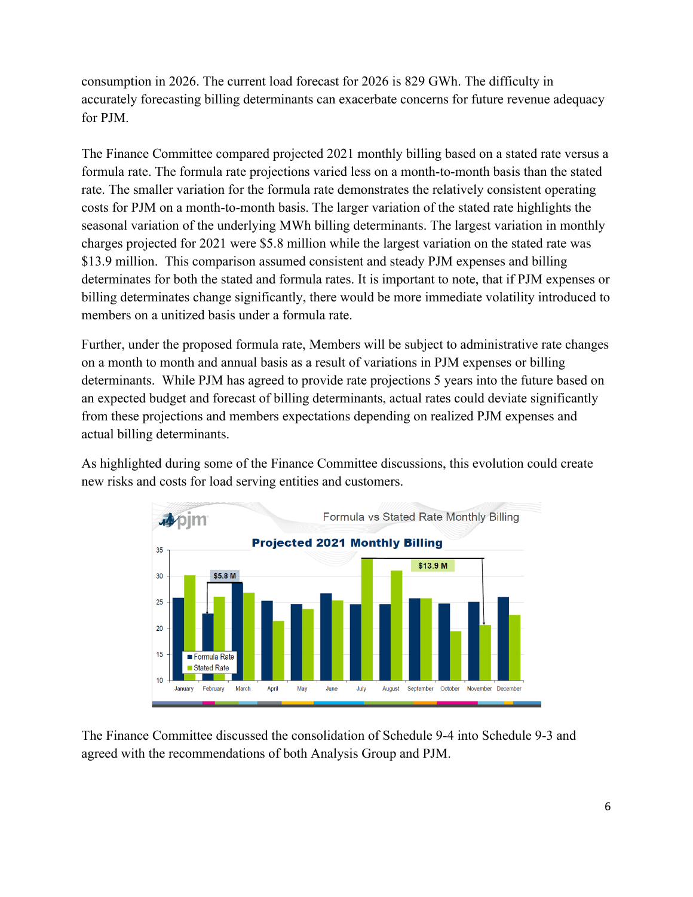consumption in 2026. The current load forecast for 2026 is 829 GWh. The difficulty in accurately forecasting billing determinants can exacerbate concerns for future revenue adequacy for PJM.

The Finance Committee compared projected 2021 monthly billing based on a stated rate versus a formula rate. The formula rate projections varied less on a month-to-month basis than the stated rate. The smaller variation for the formula rate demonstrates the relatively consistent operating costs for PJM on a month-to-month basis. The larger variation of the stated rate highlights the seasonal variation of the underlying MWh billing determinants. The largest variation in monthly charges projected for 2021 were \$5.8 million while the largest variation on the stated rate was \$13.9 million. This comparison assumed consistent and steady PJM expenses and billing determinates for both the stated and formula rates. It is important to note, that if PJM expenses or billing determinates change significantly, there would be more immediate volatility introduced to members on a unitized basis under a formula rate.

Further, under the proposed formula rate, Members will be subject to administrative rate changes on a month to month and annual basis as a result of variations in PJM expenses or billing determinants. While PJM has agreed to provide rate projections 5 years into the future based on an expected budget and forecast of billing determinants, actual rates could deviate significantly from these projections and members expectations depending on realized PJM expenses and actual billing determinants.

As highlighted during some of the Finance Committee discussions, this evolution could create new risks and costs for load serving entities and customers.



The Finance Committee discussed the consolidation of Schedule 9-4 into Schedule 9-3 and agreed with the recommendations of both Analysis Group and PJM.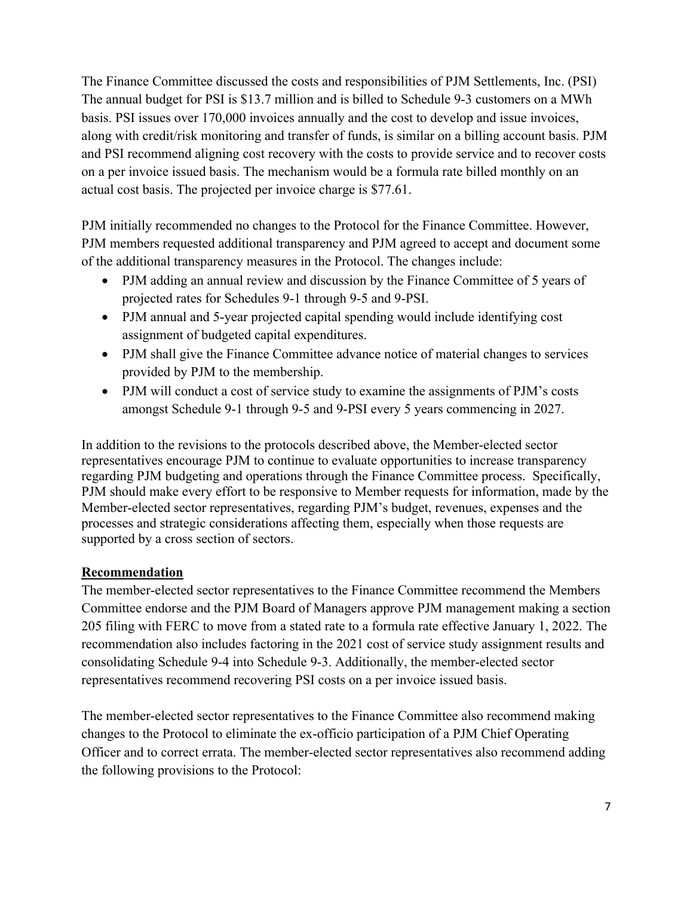The Finance Committee discussed the costs and responsibilities of PJM Settlements, Inc. (PSI) The annual budget for PSI is \$13.7 million and is billed to Schedule 9-3 customers on a MWh basis. PSI issues over 170,000 invoices annually and the cost to develop and issue invoices, along with credit/risk monitoring and transfer of funds, is similar on a billing account basis. PJM and PSI recommend aligning cost recovery with the costs to provide service and to recover costs on a per invoice issued basis. The mechanism would be a formula rate billed monthly on an actual cost basis. The projected per invoice charge is \$77.61.

PJM initially recommended no changes to the Protocol for the Finance Committee. However, PJM members requested additional transparency and PJM agreed to accept and document some of the additional transparency measures in the Protocol. The changes include:

- PJM adding an annual review and discussion by the Finance Committee of 5 years of projected rates for Schedules 9-1 through 9-5 and 9-PSI.
- PJM annual and 5-year projected capital spending would include identifying cost assignment of budgeted capital expenditures.
- PJM shall give the Finance Committee advance notice of material changes to services provided by PJM to the membership.
- PJM will conduct a cost of service study to examine the assignments of PJM's costs amongst Schedule 9-1 through 9-5 and 9-PSI every 5 years commencing in 2027.

In addition to the revisions to the protocols described above, the Member-elected sector representatives encourage PJM to continue to evaluate opportunities to increase transparency regarding PJM budgeting and operations through the Finance Committee process. Specifically, PJM should make every effort to be responsive to Member requests for information, made by the Member-elected sector representatives, regarding PJM's budget, revenues, expenses and the processes and strategic considerations affecting them, especially when those requests are supported by a cross section of sectors.

## **Recommendation**

The member-elected sector representatives to the Finance Committee recommend the Members Committee endorse and the PJM Board of Managers approve PJM management making a section 205 filing with FERC to move from a stated rate to a formula rate effective January 1, 2022. The recommendation also includes factoring in the 2021 cost of service study assignment results and consolidating Schedule 9-4 into Schedule 9-3. Additionally, the member-elected sector representatives recommend recovering PSI costs on a per invoice issued basis.

The member-elected sector representatives to the Finance Committee also recommend making changes to the Protocol to eliminate the ex-officio participation of a PJM Chief Operating Officer and to correct errata. The member-elected sector representatives also recommend adding the following provisions to the Protocol: